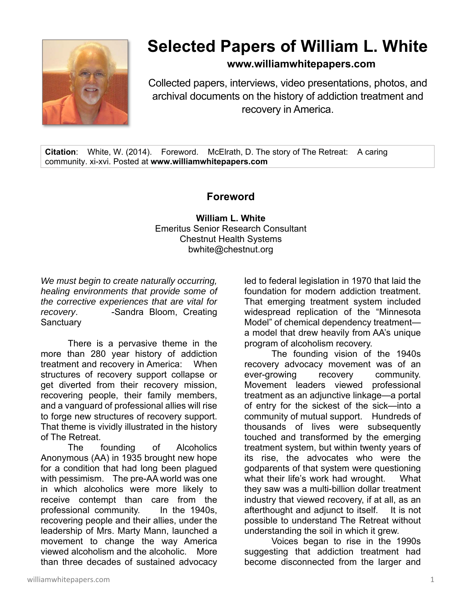

## **Selected Papers of William L. White**

**www.williamwhitepapers.com**

Collected papers, interviews, video presentations, photos, and archival documents on the history of addiction treatment and recovery in America.

**Citation**: White, W. (2014). Foreword. McElrath, D. The story of The Retreat: A caring community. xi-xvi. Posted at **www.williamwhitepapers.com** 

## **Foreword**

**William L. White**  Emeritus Senior Research Consultant Chestnut Health Systems bwhite@chestnut.org

*We must begin to create naturally occurring, healing environments that provide some of the corrective experiences that are vital for recovery*. -Sandra Bloom, Creating **Sanctuary** 

 There is a pervasive theme in the more than 280 year history of addiction treatment and recovery in America: When structures of recovery support collapse or get diverted from their recovery mission, recovering people, their family members, and a vanguard of professional allies will rise to forge new structures of recovery support. That theme is vividly illustrated in the history of The Retreat.

 The founding of Alcoholics Anonymous (AA) in 1935 brought new hope for a condition that had long been plagued with pessimism. The pre-AA world was one in which alcoholics were more likely to receive contempt than care from the professional community. In the 1940s, recovering people and their allies, under the leadership of Mrs. Marty Mann, launched a movement to change the way America viewed alcoholism and the alcoholic. More than three decades of sustained advocacy

led to federal legislation in 1970 that laid the foundation for modern addiction treatment. That emerging treatment system included widespread replication of the "Minnesota Model" of chemical dependency treatment a model that drew heavily from AA's unique program of alcoholism recovery.

 The founding vision of the 1940s recovery advocacy movement was of an ever-growing recovery community. Movement leaders viewed professional treatment as an adjunctive linkage—a portal of entry for the sickest of the sick—into a community of mutual support. Hundreds of thousands of lives were subsequently touched and transformed by the emerging treatment system, but within twenty years of its rise, the advocates who were the godparents of that system were questioning what their life's work had wrought. What they saw was a multi-billion dollar treatment industry that viewed recovery, if at all, as an afterthought and adjunct to itself. It is not possible to understand The Retreat without understanding the soil in which it grew.

 Voices began to rise in the 1990s suggesting that addiction treatment had become disconnected from the larger and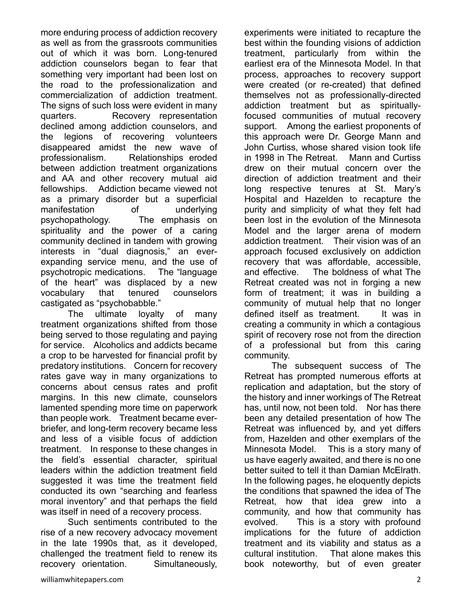more enduring process of addiction recovery as well as from the grassroots communities out of which it was born. Long-tenured addiction counselors began to fear that something very important had been lost on the road to the professionalization and commercialization of addiction treatment. The signs of such loss were evident in many quarters. Recovery representation declined among addiction counselors, and the legions of recovering volunteers disappeared amidst the new wave of professionalism. Relationships eroded between addiction treatment organizations and AA and other recovery mutual aid fellowships. Addiction became viewed not as a primary disorder but a superficial manifestation of underlying psychopathology. The emphasis on spirituality and the power of a caring community declined in tandem with growing interests in "dual diagnosis," an everexpanding service menu, and the use of psychotropic medications. The "language of the heart" was displaced by a new vocabulary that tenured counselors castigated as "psychobabble."

 The ultimate loyalty of many treatment organizations shifted from those being served to those regulating and paying for service. Alcoholics and addicts became a crop to be harvested for financial profit by predatory institutions. Concern for recovery rates gave way in many organizations to concerns about census rates and profit margins. In this new climate, counselors lamented spending more time on paperwork than people work. Treatment became everbriefer, and long-term recovery became less and less of a visible focus of addiction treatment. In response to these changes in the field's essential character, spiritual leaders within the addiction treatment field suggested it was time the treatment field conducted its own "searching and fearless moral inventory" and that perhaps the field was itself in need of a recovery process.

 Such sentiments contributed to the rise of a new recovery advocacy movement in the late 1990s that, as it developed, challenged the treatment field to renew its recovery orientation. Simultaneously,

experiments were initiated to recapture the best within the founding visions of addiction treatment, particularly from within the earliest era of the Minnesota Model. In that process, approaches to recovery support were created (or re-created) that defined themselves not as professionally-directed addiction treatment but as spirituallyfocused communities of mutual recovery support. Among the earliest proponents of this approach were Dr. George Mann and John Curtiss, whose shared vision took life in 1998 in The Retreat. Mann and Curtiss drew on their mutual concern over the direction of addiction treatment and their long respective tenures at St. Mary's Hospital and Hazelden to recapture the purity and simplicity of what they felt had been lost in the evolution of the Minnesota Model and the larger arena of modern addiction treatment. Their vision was of an approach focused exclusively on addiction recovery that was affordable, accessible, and effective. The boldness of what The Retreat created was not in forging a new form of treatment; it was in building a community of mutual help that no longer defined itself as treatment. It was in creating a community in which a contagious spirit of recovery rose not from the direction of a professional but from this caring community.

 The subsequent success of The Retreat has prompted numerous efforts at replication and adaptation, but the story of the history and inner workings of The Retreat has, until now, not been told. Nor has there been any detailed presentation of how The Retreat was influenced by, and yet differs from, Hazelden and other exemplars of the Minnesota Model. This is a story many of us have eagerly awaited, and there is no one better suited to tell it than Damian McElrath. In the following pages, he eloquently depicts the conditions that spawned the idea of The Retreat, how that idea grew into a community, and how that community has evolved. This is a story with profound implications for the future of addiction treatment and its viability and status as a cultural institution. That alone makes this book noteworthy, but of even greater